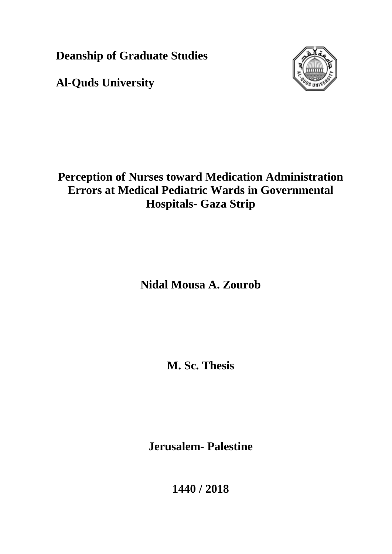**Deanship of Graduate Studies**

**Al-Quds University**



## **Perception of Nurses toward Medication Administration Errors at Medical Pediatric Wards in Governmental Hospitals- Gaza Strip**

**Nidal Mousa A. Zourob**

**M. Sc. Thesis**

**Jerusalem- Palestine**

**1440 / 2018**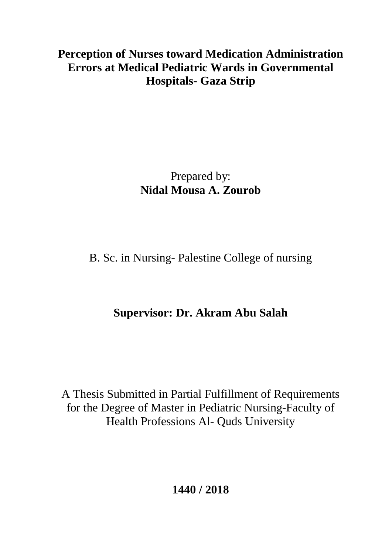## **Perception of Nurses toward Medication Administration Errors at Medical Pediatric Wards in Governmental Hospitals- Gaza Strip**

# Prepared by: **Nidal Mousa A. Zourob**

# B. Sc. in Nursing- Palestine College of nursing

# **Supervisor: Dr. Akram Abu Salah**

A Thesis Submitted in Partial Fulfillment of Requirements for the Degree of Master in Pediatric Nursing-Faculty of Health Professions Al- Quds University

**1440 / 2018**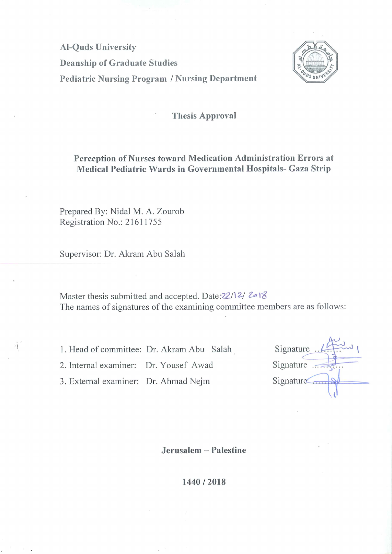**Al-Quds University Deanship of Graduate Studies Pediatric Nursing Program / Nursing Department** 



### **Thesis Approval**

### Perception of Nurses toward Medication Administration Errors at Medical Pediatric Wards in Governmental Hospitals- Gaza Strip

Prepared By: Nidal M. A. Zourob Registration No.: 21611755

Supervisor: Dr. Akram Abu Salah

Master thesis submitted and accepted. Date: 22/12/2018 The names of signatures of the examining committee members are as follows:

1. Head of committee: Dr. Akram Abu Salah

2. Internal examiner: Dr. Yousef Awad

3. External examiner: Dr. Ahmad Nejm

| Signature |
|-----------|
| Signature |
| Signature |
|           |

Jerusalem - Palestine

1440/2018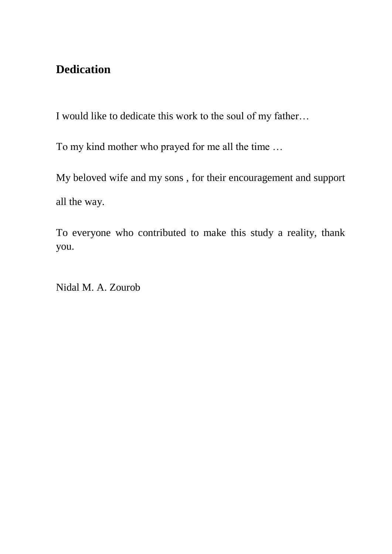## <span id="page-3-0"></span>**Dedication**

I would like to dedicate this work to the soul of my father…

To my kind mother who prayed for me all the time …

My beloved wife and my sons , for their encouragement and support all the way.

To everyone who contributed to make this study a reality, thank you.

Nidal M. A. Zourob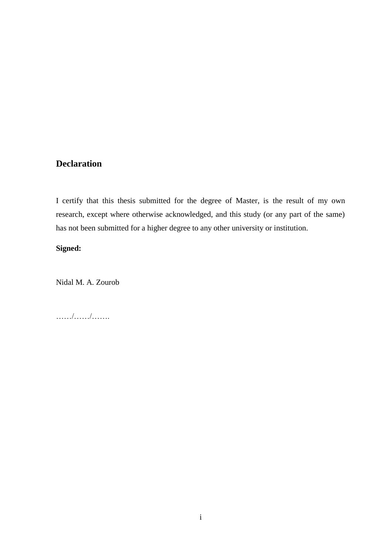### <span id="page-4-0"></span>**Declaration**

I certify that this thesis submitted for the degree of Master, is the result of my own research, except where otherwise acknowledged, and this study (or any part of the same) has not been submitted for a higher degree to any other university or institution.

### **Signed:**

Nidal M. A. Zourob

……/……/…….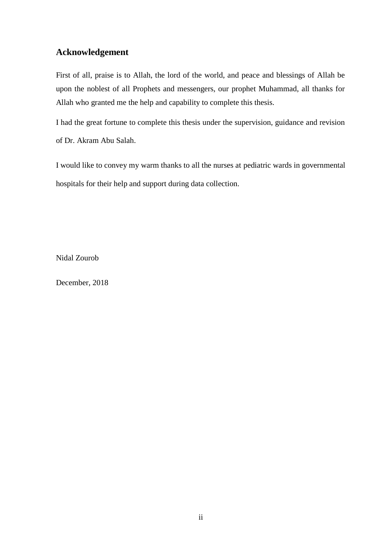### <span id="page-5-0"></span>**Acknowledgement**

First of all, praise is to Allah, the lord of the world, and peace and blessings of Allah be upon the noblest of all Prophets and messengers, our prophet Muhammad, all thanks for Allah who granted me the help and capability to complete this thesis.

I had the great fortune to complete this thesis under the supervision, guidance and revision of Dr. Akram Abu Salah.

I would like to convey my warm thanks to all the nurses at pediatric wards in governmental hospitals for their help and support during data collection.

Nidal Zourob

December, 2018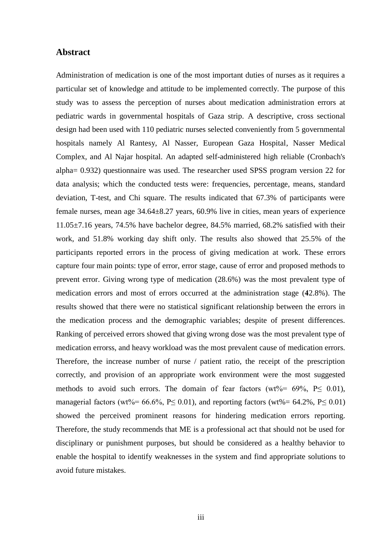### <span id="page-6-0"></span>**Abstract**

Administration of medication is one of the most important duties of nurses as it requires a particular set of knowledge and attitude to be implemented correctly. The purpose of this study was to assess the perception of nurses about medication administration errors at pediatric wards in governmental hospitals of Gaza strip. A descriptive, cross sectional design had been used with 110 pediatric nurses selected conveniently from 5 governmental hospitals namely Al Rantesy, Al Nasser, European Gaza Hospital, Nasser Medical Complex, and Al Najar hospital. An adapted self-administered high reliable (Cronbach's alpha= 0.932) questionnaire was used. The researcher used SPSS program version 22 for data analysis; which the conducted tests were: frequencies, percentage, means, standard deviation, T-test, and Chi square. The results indicated that 67.3% of participants were female nurses, mean age 34.64±8.27 years, 60.9% live in cities, mean years of experience 11.05±7.16 years, 74.5% have bachelor degree, 84.5% married, 68.2% satisfied with their work, and 51.8% working day shift only. The results also showed that 25.5% of the participants reported errors in the process of giving medication at work. These errors capture four main points: type of error, error stage, cause of error and proposed methods to prevent error. Giving wrong type of medication (28.6%) was the most prevalent type of medication errors and most of errors occurred at the administration stage (**4**2.8%). The results showed that there were no statistical significant relationship between the errors in the medication process and the demographic variables; despite of present differences. Ranking of perceived errors showed that giving wrong dose was the most prevalent type of medication errorss, and heavy workload was the most prevalent cause of medication errors. Therefore, the increase number of nurse / patient ratio, the receipt of the prescription correctly, and provision of an appropriate work environment were the most suggested methods to avoid such errors. The domain of fear factors (wt%=  $69\%$ , P $\leq$  0.01), managerial factors (wt%=  $66.6\%$ , P $\leq$  0.01), and reporting factors (wt%=  $64.2\%$ , P $\leq$  0.01) showed the perceived prominent reasons for hindering medication errors reporting. Therefore, the study recommends that ME is a professional act that should not be used for disciplinary or punishment purposes, but should be considered as a healthy behavior to enable the hospital to identify weaknesses in the system and find appropriate solutions to avoid future mistakes.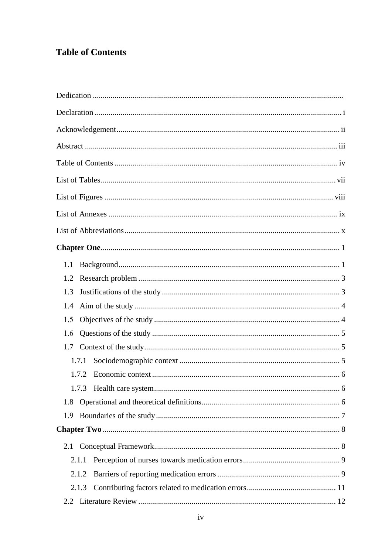## <span id="page-7-0"></span>**Table of Contents**

| 1.1   |  |
|-------|--|
| 1.2   |  |
| 1.3   |  |
| 1.4   |  |
| 1.5   |  |
| 1.6   |  |
| 1.7   |  |
| 1.7.1 |  |
| 1.7.2 |  |
|       |  |
| 1.8   |  |
| 1.9   |  |
|       |  |
|       |  |
| 2.1.1 |  |
| 2.1.2 |  |
| 2.1.3 |  |
| 2.2   |  |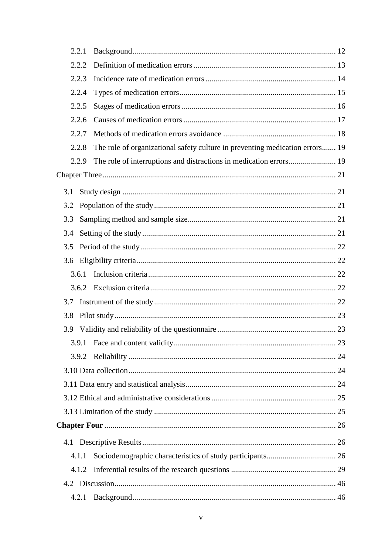|     | 2.2.1 |                                                                              |  |
|-----|-------|------------------------------------------------------------------------------|--|
|     | 2.2.2 |                                                                              |  |
|     | 2.2.3 |                                                                              |  |
|     | 2.2.4 |                                                                              |  |
|     | 2.2.5 |                                                                              |  |
|     | 2.2.6 |                                                                              |  |
|     | 2.2.7 |                                                                              |  |
|     | 2.2.8 | The role of organizational safety culture in preventing medication errors 19 |  |
|     | 2.2.9 | The role of interruptions and distractions in medication errors 19           |  |
|     |       |                                                                              |  |
| 3.1 |       |                                                                              |  |
| 3.2 |       |                                                                              |  |
| 3.3 |       |                                                                              |  |
| 3.4 |       |                                                                              |  |
| 3.5 |       |                                                                              |  |
| 3.6 |       |                                                                              |  |
|     | 3.6.1 |                                                                              |  |
|     | 3.6.2 |                                                                              |  |
| 3.7 |       |                                                                              |  |
| 3.8 |       |                                                                              |  |
| 3.9 |       |                                                                              |  |
|     |       |                                                                              |  |
|     | 3.9.2 |                                                                              |  |
|     |       |                                                                              |  |
|     |       |                                                                              |  |
|     |       |                                                                              |  |
|     |       |                                                                              |  |
|     |       |                                                                              |  |
|     |       |                                                                              |  |
|     | 4.1.1 |                                                                              |  |
|     | 4.1.2 |                                                                              |  |
|     |       |                                                                              |  |
|     | 4.2.1 |                                                                              |  |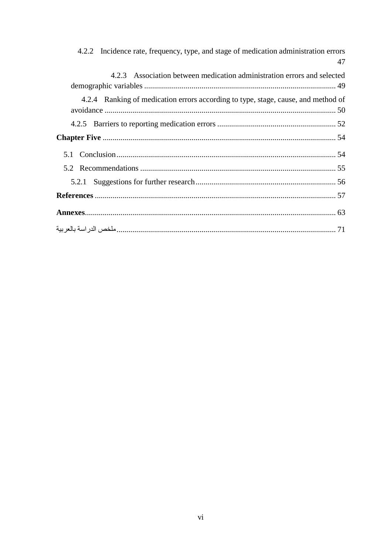| 4.2.2 Incidence rate, frequency, type, and stage of medication administration errors<br>47 |
|--------------------------------------------------------------------------------------------|
| 4.2.3 Association between medication administration errors and selected                    |
| 4.2.4 Ranking of medication errors according to type, stage, cause, and method of          |
|                                                                                            |
|                                                                                            |
|                                                                                            |
|                                                                                            |
|                                                                                            |
|                                                                                            |
|                                                                                            |
|                                                                                            |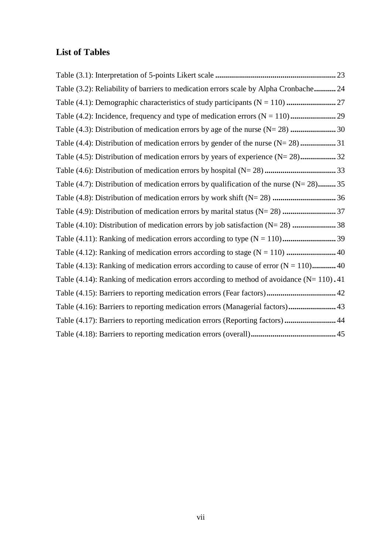### <span id="page-10-0"></span>**List of Tables**

Table (3.1): Interpretation of 5-points Likert scale **.............................................................** 23 Table (3.2): Reliability of barriers to medication errors scale by Alpha Cronbache**...........** 24 Table (4.1): Demographic characteristics of study participants (N = 110) **.........................** 27 Table (4.2): Incidence, frequency and type of medication errors (N = 110)**.......................** 29 Table (4.3): Distribution of medication errors by age of the nurse (N= 28) **.......................** 30 Table (4.4): Distribution of medication errors by gender of the nurse (N= 28)**..................** 31 Table (4.5): Distribution of medication errors by years of experience (N= 28)**..................** 32 Table (4.6): Distribution of medication errors by hospital (N= 28) **....................................** 33 Table (4.7): Distribution of medication errors by qualification of the nurse (N= 28)**.........** 35 Table (4.8): Distribution of medication errors by work shift (N= 28) **................................** 36 Table (4.9): Distribution of medication errors by marital status (N= 28) **...........................** 37 Table (4.10): Distribution of medication errors by job satisfaction (N= 28) **......................** 38 Table (4.11): Ranking of medication errors according to type (N = 110)**...........................** 39 Table (4.12): Ranking of medication errors according to stage (N = 110) **.........................** 40 Table (4.13): Ranking of medication errors according to cause of error  $(N = 110)$ ............. 40 Table (4.14): Ranking of medication errors according to method of avoidance (N= 110) **.** 41 Table (4.15): Barriers to reporting medication errors (Fear factors)**...................................** 42 Table (4.16): Barriers to reporting medication errors (Managerial factors)**........................** 43 Table (4.17): Barriers to reporting medication errors (Reporting factors)**..........................** 44 Table (4.18): Barriers to reporting medication errors (overall)**...........................................** 45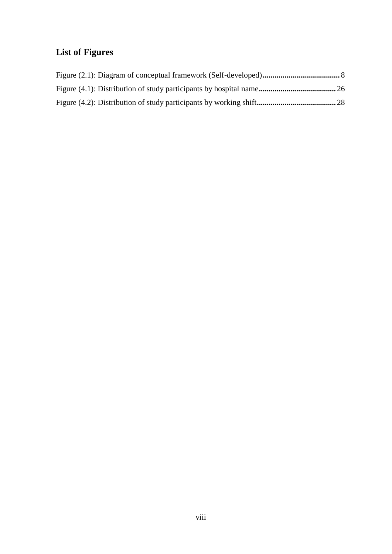## <span id="page-11-0"></span>**List of Figures**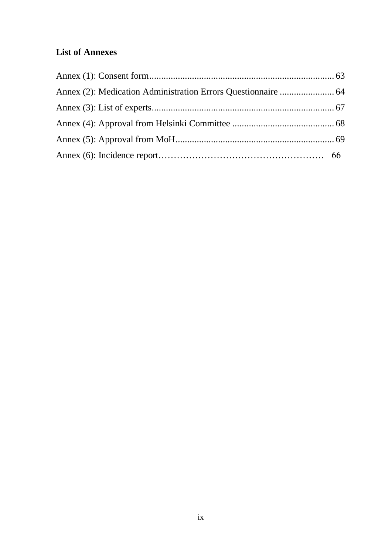## <span id="page-12-0"></span>**List of Annexes**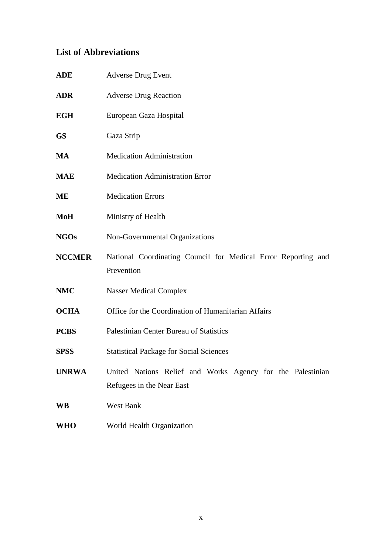## <span id="page-13-0"></span>**List of Abbreviations**

| ADE           | <b>Adverse Drug Event</b>                                                               |
|---------------|-----------------------------------------------------------------------------------------|
| ADR           | <b>Adverse Drug Reaction</b>                                                            |
| EGH           | European Gaza Hospital                                                                  |
| GS            | Gaza Strip                                                                              |
| MA            | <b>Medication Administration</b>                                                        |
| MAE           | <b>Medication Administration Error</b>                                                  |
| MЕ            | <b>Medication Errors</b>                                                                |
| $\bf{Mo}H$    | Ministry of Health                                                                      |
| <b>NGOs</b>   | Non-Governmental Organizations                                                          |
| <b>NCCMER</b> | National Coordinating Council for Medical Error Reporting and<br>Prevention             |
| NMC           | <b>Nasser Medical Complex</b>                                                           |
| <b>OCHA</b>   | Office for the Coordination of Humanitarian Affairs                                     |
| <b>PCBS</b>   | Palestinian Center Bureau of Statistics                                                 |
| <b>SPSS</b>   | <b>Statistical Package for Social Sciences</b>                                          |
| <b>UNRWA</b>  | United Nations Relief and Works Agency for the Palestinian<br>Refugees in the Near East |
| WB            | West Bank                                                                               |
| WHO           | World Health Organization                                                               |